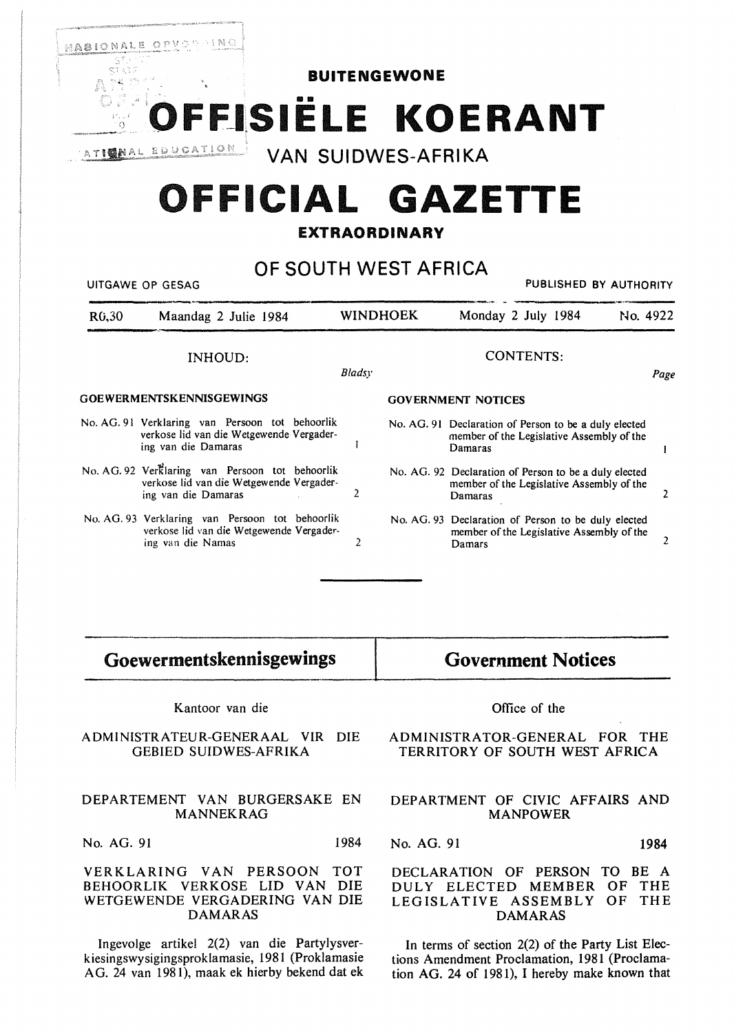

# **OFFICIAL GAZETTE**

# **EXTRAORDINARY**

# **OF SOUTH WEST AFRICA**

| PUBLISHED BY AUTHORITY<br>UITGAWE OP GESAG |                                                                                                                    |                 |                           |                                                                                                               |          |
|--------------------------------------------|--------------------------------------------------------------------------------------------------------------------|-----------------|---------------------------|---------------------------------------------------------------------------------------------------------------|----------|
| R <sub>0</sub> ,30                         | Maandag 2 Julie 1984                                                                                               | <b>WINDHOEK</b> |                           | Monday 2 July 1984                                                                                            | No. 4922 |
|                                            | INHOUD:                                                                                                            | Bladsy          |                           | <b>CONTENTS:</b>                                                                                              | Page     |
| <b>GOEWERMENTSKENNISGEWINGS</b>            |                                                                                                                    |                 | <b>GOVERNMENT NOTICES</b> |                                                                                                               |          |
|                                            | No. AG. 91 Verklaring van Persoon tot behoorlik<br>verkose lid van die Wetgewende Vergader-<br>ing van die Damaras |                 |                           | No. AG. 91 Declaration of Person to be a duly elected<br>member of the Legislative Assembly of the<br>Damaras |          |
|                                            | No. AG. 92 Verklaring van Persoon tot behoorlik<br>verkose lid van die Wetgewende Vergader-<br>ing van die Damaras | 2               |                           | No. AG. 92 Declaration of Person to be a duly elected<br>member of the Legislative Assembly of the<br>Damaras |          |
|                                            | No. AG. 93 Verklaring van Persoon tot behoorlik<br>verkose lid van die Wetgewende Vergader-<br>ing van die Namas   | 2               |                           | No. AG. 93 Declaration of Person to be duly elected<br>member of the Legislative Assembly of the<br>Damars    |          |
|                                            |                                                                                                                    |                 |                           |                                                                                                               |          |

# **Goewermentskennisgewings**

## Kantoor van die

#### ADMINISTRATEUR-GENERAAL VIR DIE GEBIED SUIDWES-AFRIKA

#### DEPARTEMENT VAN BURGERSAKE EN MANNEKRAG

No. AG. 91 1984

#### VERKLARING VAN PERSOON TOT BEHOORLIK VERKOSE LID VAN DIE WETGEWENDE VERGADERING VAN DIE DAMARAS

lngevolge artikel 2(2) van die Partylysverk iesingswysigingsproklamasie, 1981 (Proklamasie AG. 24 van 1981), maak ek hierby bekend dat ek

**Government Notices** 

#### Office of the

#### ADMINISTRATOR-GENERAL FOR THE TERRITORY OF SOUTH WEST AFRICA

### DEPARTMENT OF CIVIC AFFAIRS AND **MANPOWER**

No. AG. 91 1984

### DECLARATION OF PERSON TO BE A DULY ELECTED MEMBER OF THE LEGISLATIVE ASSEMBLY OF THE DAMARAS

In terms of section 2(2) of the Party List Elections Amendment Proclamation, 1981 (Proclamation AG. 24 of 1981), I hereby make known that